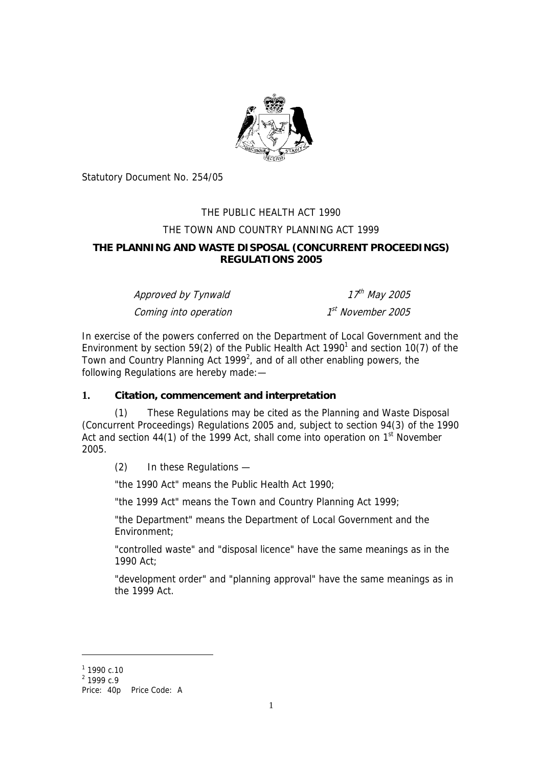

Statutory Document No. 254/05

# THE PUBLIC HEALTH ACT 1990 THE TOWN AND COUNTRY PLANNING ACT 1999 **THE PLANNING AND WASTE DISPOSAL (CONCURRENT PROCEEDINGS) REGULATIONS 2005**

| Approved by Tynwald   | 17 <sup>th</sup> May 2005     |
|-----------------------|-------------------------------|
| Coming into operation | 1 <sup>st</sup> November 2005 |

In exercise of the powers conferred on the Department of Local Government and the Environment by section 59(2) of the Public Health Act [1](#page-0-0)990<sup>1</sup> and section 10(7) of the Town and Country Planning Act 1999<sup>[2](#page-0-1)</sup>, and of all other enabling powers, the following Regulations are hereby made:—

# **1. Citation, commencement and interpretation**

(1) These Regulations may be cited as the Planning and Waste Disposal (Concurrent Proceedings) Regulations 2005 and, subject to section 94(3) of the 1990 Act and section 44(1) of the 1999 Act, shall come into operation on 1st November 2005.

(2) In these Regulations —

"the 1990 Act" means the Public Health Act 1990;

"the 1999 Act" means the Town and Country Planning Act 1999;

"the Department" means the Department of Local Government and the Environment;

"controlled waste" and "disposal licence" have the same meanings as in the 1990 Act;

"development order" and "planning approval" have the same meanings as in the 1999 Act.

 $\overline{a}$ 

<span id="page-0-0"></span> $1$  1990 c.10

<span id="page-0-1"></span><sup>&</sup>lt;sup>2</sup> 1999 c.9

Price: 40p Price Code: A